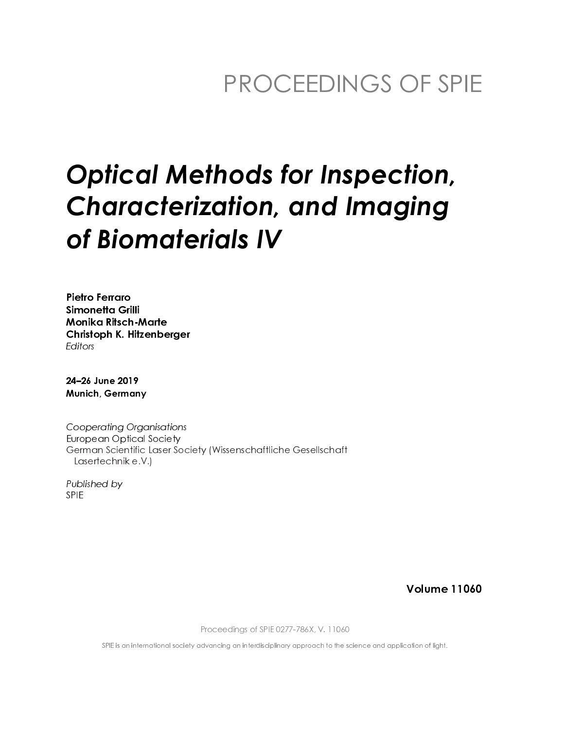## PROCEEDINGS OF SPIE

# **Optical Methods for Inspection, Characterization, and Imaging** of Biomaterials IV

Pietro Ferraro Simonetta Grilli **Monika Ritsch-Marte** Christoph K. Hitzenberger Editors

24-26 June 2019 **Munich, Germany** 

**Cooperating Organisations European Optical Society** German Scientific Laser Society (Wissenschaftliche Gesellschaft Lasertechnik e.V.)

Published by **SPIE** 

**Volume 11060** 

Proceedings of SPIE 0277-786X, V. 11060

SPIE is an international society advancing an interdisciplinary approach to the science and application of light.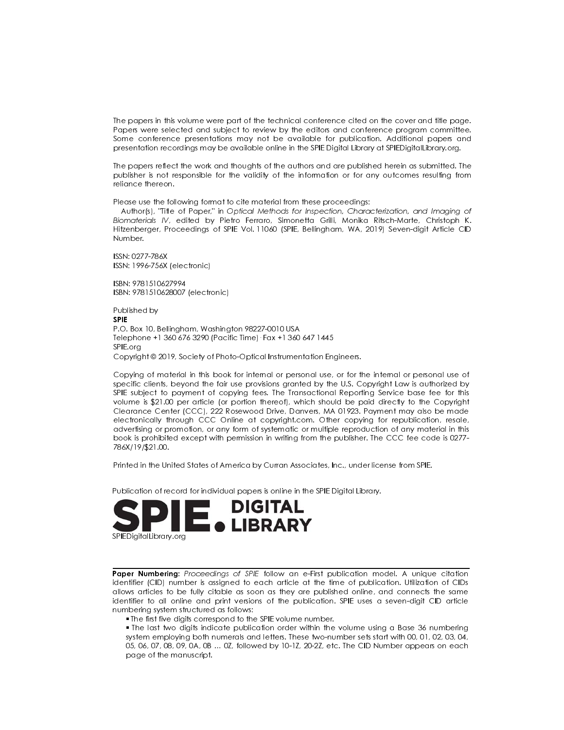The papers in this volume were part of the technical conference cited on the cover and title page. Papers were selected and subject to review by the editors and conference program committee. Some conference presentations may not be available for publication. Additional papers and presentation recordings may be available online in the SPIE Digital Library at SPIEDigitalLibrary.org.

The papers reflect the work and thoughts of the authors and are published herein as submitted. The publisher is not responsible for the validity of the information or for any outcomes resulting from reliance thereon.

Please use the following format to cite material from these proceedings:

Author(s), "Title of Paper," in Optical Methods for Inspection, Characterization, and Imaging of Biomaterials IV, edited by Pietro Ferraro, Simonetta Grilli, Monika Ritsch-Marte, Christoph K. Hitzenberger, Proceedings of SPIE Vol. 11060 (SPIE, Bellingham, WA, 2019) Seven-digit Article CID Number.

ISSN: 0277-786X ISSN: 1996-756X (electronic)

ISBN: 9781510627994 ISBN: 9781510628007 (electronic)

Published by **SPIE** P.O. Box 10, Bellingham, Washington 98227-0010 USA Telephone +1 360 676 3290 (Pacific Time) · Fax +1 360 647 1445 SPIE.org Copyright © 2019, Society of Photo-Optical Instrumentation Engineers.

Copying of material in this book for internal or personal use, or for the internal or personal use of specific clients, beyond the fair use provisions granted by the U.S. Copyright Law is authorized by SPIE subject to payment of copying fees. The Transactional Reporting Service base fee for this volume is \$21.00 per article (or portion thereof), which should be paid directly to the Copyright Clearance Center (CCC), 222 Rosewood Drive, Danvers, MA 01923. Payment may also be made electronically through CCC Online at copyright.com. Other copying for republication, resale, advertising or promotion, or any form of systematic or multiple reproduction of any material in this book is prohibited except with permission in writing from the publisher. The CCC fee code is 0277-786X/19/\$21.00.

Printed in the United States of America by Curran Associates, Inc., under license from SPIE.

Publication of record for individual papers is online in the SPIE Digital Library.



Paper Numbering: Proceedings of SPIE follow an e-First publication model. A unique citation identifier (CID) number is assigned to each article at the time of publication. Utilization of CIDs allows articles to be fully citable as soon as they are published online, and connects the same identifier to all online and print versions of the publication. SPIE uses a seven-digit CID article numbering system structured as follows:

. The first five digits correspond to the SPIE volume number.

. The last two digits indicate publication order within the volume using a Base 36 numbering system employing both numerals and letters. These two-number sets start with 00, 01, 02, 03, 04, 05, 06, 07, 08, 09, 0A, 0B ... 0Z, followed by 10-1Z, 20-2Z, etc. The CID Number appears on each page of the manuscript.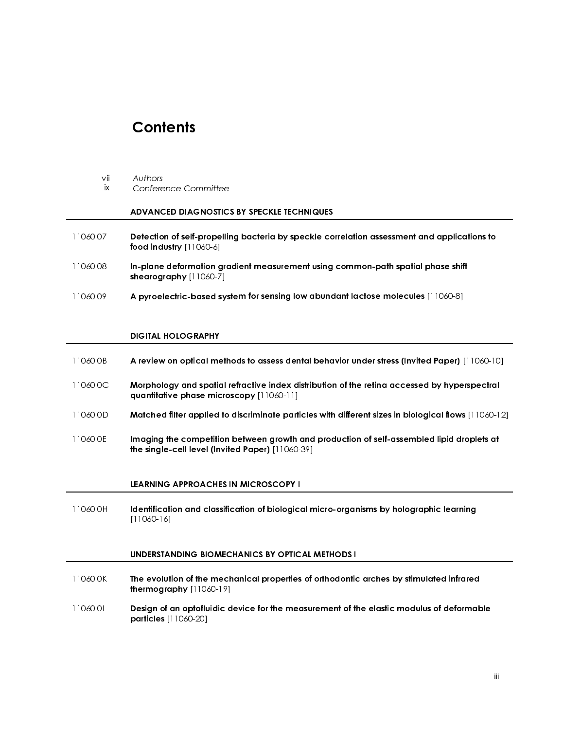### **Contents**

- 
- ix

#### ADVANCED DIAGNOSTICS BY SPECKLE TECHNIQUES

- 11060 07 Detection of self-propelling bacteria by speckle correlation assessment and applications to food industry [11060-6]
- Vii Authors<br>
ix Confere<br> **ADVANC**<br>
11060 07 **Detectio**<br>
food indu<br>
11060 08 **In-plane**<br>
shearogr<br>
DIGITAL<br>
DIGITAL<br>
11060 0B A review<br>
11060 0C **Morphol**<br>
quantitat<br>
11060 0D **Matched** ADVANCED DIAGNOSTIC:<br>
Detection of self-propellir<br>
ood industry [11060-6]<br>
n-plane deformation gra<br>
shearography [11060-7]<br>
A pyroelectric-based syst<br>
DIGITAL HOLOGRAPHY<br>
A review on optical meth<br>
Morphology and spatial r<br> 11060 08 In-plane deformation gradient measurement using common-path spatial phase shift shearography [11060-7]
- 11060 09 A pyroelectric-based system for sensing low abundant lactose molecules [11060-8]

#### DIGITAL HOLOGRAPHY

- 11060 0B A review on optical methods to assess dental behavior under stress (Invited Paper) [11060-10]
- 11060 0C Morphology and spatial refractive index distribution of the retina accessed by hyperspectral quantitative phase microscopy [11060-11]
- 11060 0D Matched filter applied to discriminate particles with different sizes in biological flows [11060-12]
- 11060 0E Imaging the competition between growth and production of self-assembled lipid droplets at the single-cell level (Invited Paper) [11060-39]

#### LEARNING APPROACHES IN MICROSCOPY I

11060 0H Identification and classification of biological micro-organisms by holographic learning [11060-16]

#### UNDERSTANDING BIOMECHANICS BY OPTICAL METHODS I

- 11060 0K The evolution of the mechanical properties of orthodontic arches by stimulated infrared thermography [11060-19]
- 11060 0L Design of an optofluidic device for the measurement of the elastic modulus of deformable particles [11060-20]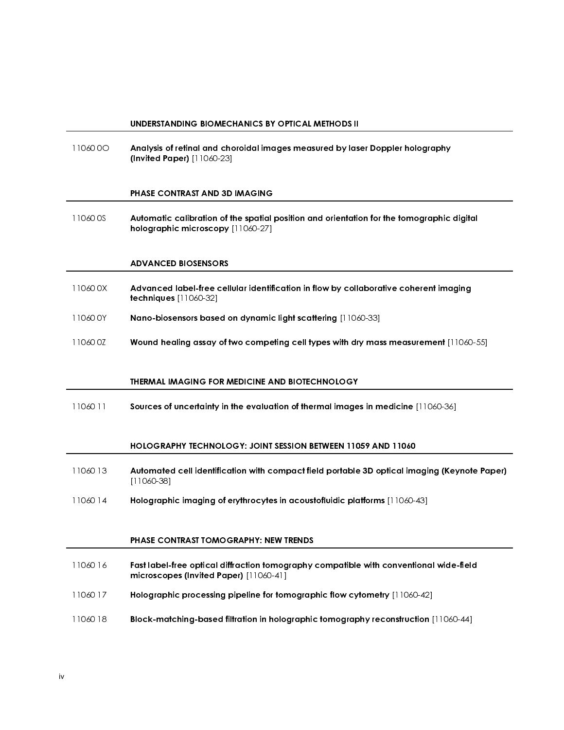#### UNDERSTANDING BIOMECHANICS BY OPTICAL METHODS II

11060 00 Analysis of retinal and choroidal images measured by laser Doppler holography (Invited Paper) [11060-23]

#### PHASE CONTRAST AND 3D IMAGING

 11060 0S Automatic calibration of the spatial position and orientation for the tomographic digital holographic microscopy [11060-27]

#### ADVANCED BIOSENSORS

- 11060 0X Advanced label-free cellular identification in flow by collaborative coherent imaging techniques [11060-32]
- 11060 0Y Nano-biosensors based on dynamic light scattering [11060-33]
- 11060 0Z Wound healing assay of two competing cell types with dry mass measurement [11060-55]

#### THERMAL IMAGING FOR MEDICINE AND BIOTECHNOLOGY

11060 11 Sources of uncertainty in the evaluation of thermal images in medicine [11060-36]

#### HOLOGRAPHY TECHNOLOGY: JOINT SESSION BETWEEN 11059 AND 11060

- 11060 13 Automated cell identification with compact field portable 3D optical imaging (Keynote Paper) [11060-38]
- 11060 14 Holographic imaging of erythrocytes in acoustofluidic platforms [11060-43]

#### PHASE CONTRAST TOMOGRAPHY: NEW TRENDS

- 11060 16 Fast label-free optical diffraction tomography compatible with conventional wide-field microscopes (Invited Paper) [11060-41]
- 11060 17 Holographic processing pipeline for tomographic flow cytometry [11060-42]
- 11060 18 Block-matching-based filtration in holographic tomography reconstruction [11060-44]

-

-

-

-

-

-